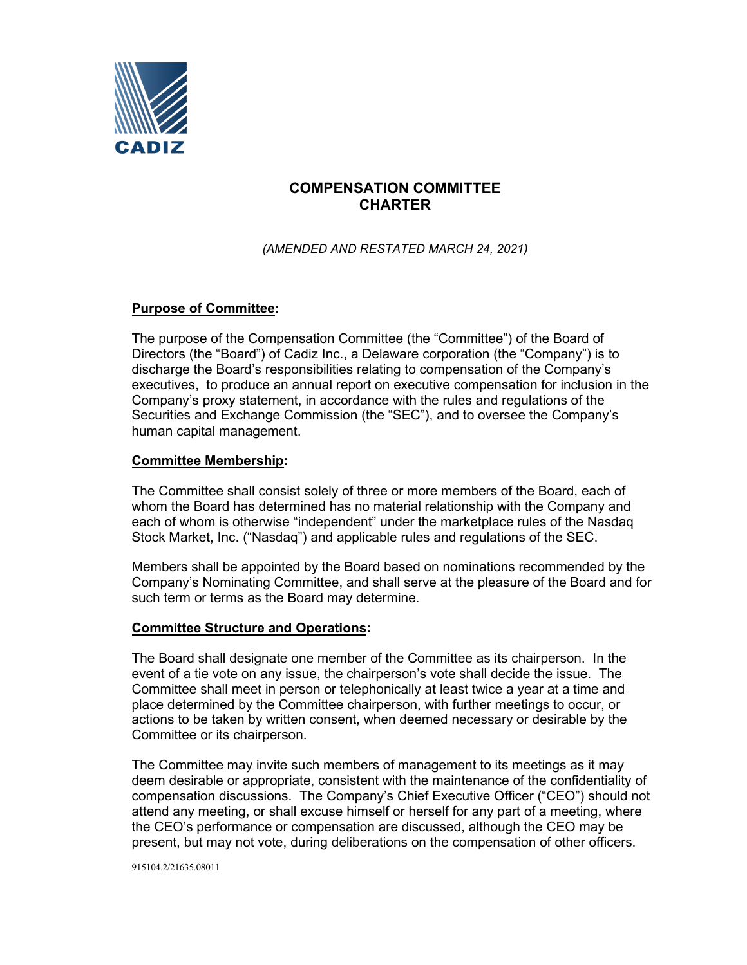

# **COMPENSATION COMMITTEE CHARTER**

*(AMENDED AND RESTATED MARCH 24, 2021)*

## **Purpose of Committee:**

The purpose of the Compensation Committee (the "Committee") of the Board of Directors (the "Board") of Cadiz Inc., a Delaware corporation (the "Company") is to discharge the Board's responsibilities relating to compensation of the Company's executives, to produce an annual report on executive compensation for inclusion in the Company's proxy statement, in accordance with the rules and regulations of the Securities and Exchange Commission (the "SEC"), and to oversee the Company's human capital management.

## **Committee Membership:**

The Committee shall consist solely of three or more members of the Board, each of whom the Board has determined has no material relationship with the Company and each of whom is otherwise "independent" under the marketplace rules of the Nasdaq Stock Market, Inc. ("Nasdaq") and applicable rules and regulations of the SEC.

Members shall be appointed by the Board based on nominations recommended by the Company's Nominating Committee, and shall serve at the pleasure of the Board and for such term or terms as the Board may determine.

## **Committee Structure and Operations:**

The Board shall designate one member of the Committee as its chairperson. In the event of a tie vote on any issue, the chairperson's vote shall decide the issue. The Committee shall meet in person or telephonically at least twice a year at a time and place determined by the Committee chairperson, with further meetings to occur, or actions to be taken by written consent, when deemed necessary or desirable by the Committee or its chairperson.

The Committee may invite such members of management to its meetings as it may deem desirable or appropriate, consistent with the maintenance of the confidentiality of compensation discussions. The Company's Chief Executive Officer ("CEO") should not attend any meeting, or shall excuse himself or herself for any part of a meeting, where the CEO's performance or compensation are discussed, although the CEO may be present, but may not vote, during deliberations on the compensation of other officers.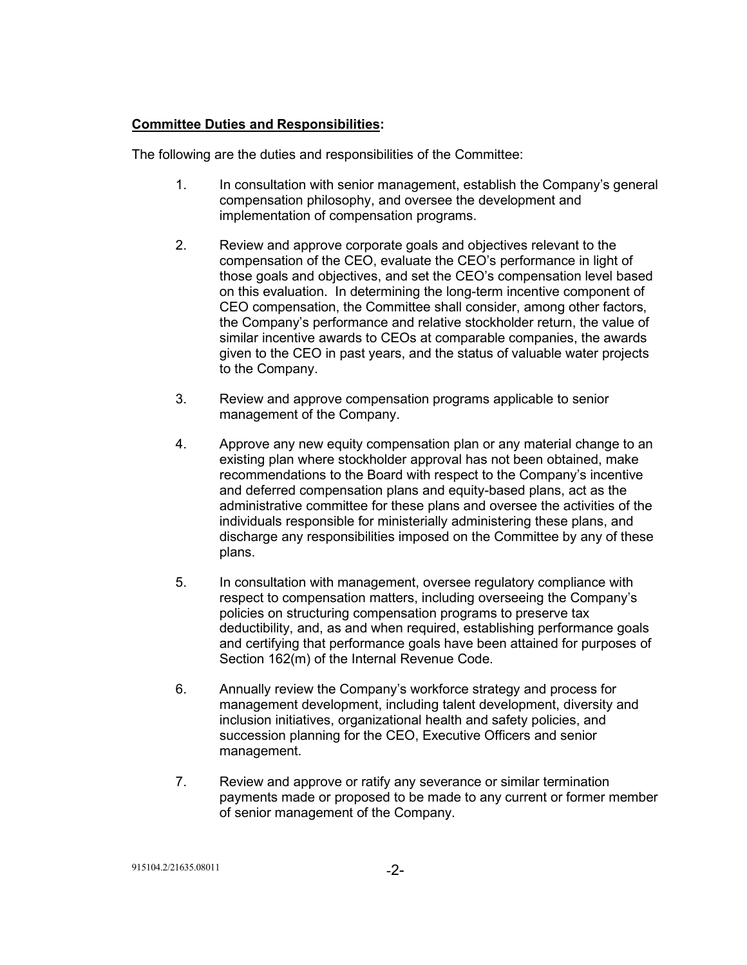## **Committee Duties and Responsibilities:**

The following are the duties and responsibilities of the Committee:

- 1. In consultation with senior management, establish the Company's general compensation philosophy, and oversee the development and implementation of compensation programs.
- 2. Review and approve corporate goals and objectives relevant to the compensation of the CEO, evaluate the CEO's performance in light of those goals and objectives, and set the CEO's compensation level based on this evaluation. In determining the long-term incentive component of CEO compensation, the Committee shall consider, among other factors, the Company's performance and relative stockholder return, the value of similar incentive awards to CEOs at comparable companies, the awards given to the CEO in past years, and the status of valuable water projects to the Company.
- 3. Review and approve compensation programs applicable to senior management of the Company.
- 4. Approve any new equity compensation plan or any material change to an existing plan where stockholder approval has not been obtained, make recommendations to the Board with respect to the Company's incentive and deferred compensation plans and equity-based plans, act as the administrative committee for these plans and oversee the activities of the individuals responsible for ministerially administering these plans, and discharge any responsibilities imposed on the Committee by any of these plans.
- 5. In consultation with management, oversee regulatory compliance with respect to compensation matters, including overseeing the Company's policies on structuring compensation programs to preserve tax deductibility, and, as and when required, establishing performance goals and certifying that performance goals have been attained for purposes of Section 162(m) of the Internal Revenue Code.
- 6. Annually review the Company's workforce strategy and process for management development, including talent development, diversity and inclusion initiatives, organizational health and safety policies, and succession planning for the CEO, Executive Officers and senior management.
- 7. Review and approve or ratify any severance or similar termination payments made or proposed to be made to any current or former member of senior management of the Company.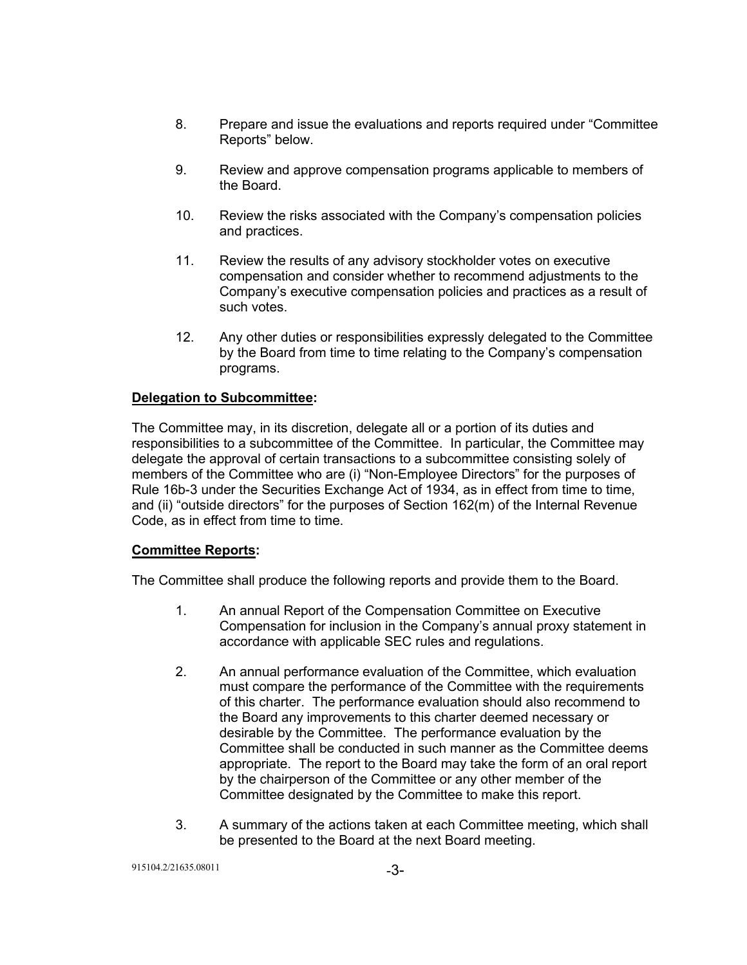- 8. Prepare and issue the evaluations and reports required under "Committee Reports" below.
- 9. Review and approve compensation programs applicable to members of the Board.
- 10. Review the risks associated with the Company's compensation policies and practices.
- 11. Review the results of any advisory stockholder votes on executive compensation and consider whether to recommend adjustments to the Company's executive compensation policies and practices as a result of such votes.
- 12. Any other duties or responsibilities expressly delegated to the Committee by the Board from time to time relating to the Company's compensation programs.

## **Delegation to Subcommittee:**

The Committee may, in its discretion, delegate all or a portion of its duties and responsibilities to a subcommittee of the Committee. In particular, the Committee may delegate the approval of certain transactions to a subcommittee consisting solely of members of the Committee who are (i) "Non-Employee Directors" for the purposes of Rule 16b-3 under the Securities Exchange Act of 1934, as in effect from time to time, and (ii) "outside directors" for the purposes of Section 162(m) of the Internal Revenue Code, as in effect from time to time.

#### **Committee Reports:**

The Committee shall produce the following reports and provide them to the Board.

- 1. An annual Report of the Compensation Committee on Executive Compensation for inclusion in the Company's annual proxy statement in accordance with applicable SEC rules and regulations.
- 2. An annual performance evaluation of the Committee, which evaluation must compare the performance of the Committee with the requirements of this charter. The performance evaluation should also recommend to the Board any improvements to this charter deemed necessary or desirable by the Committee. The performance evaluation by the Committee shall be conducted in such manner as the Committee deems appropriate. The report to the Board may take the form of an oral report by the chairperson of the Committee or any other member of the Committee designated by the Committee to make this report.
- 3. A summary of the actions taken at each Committee meeting, which shall be presented to the Board at the next Board meeting.